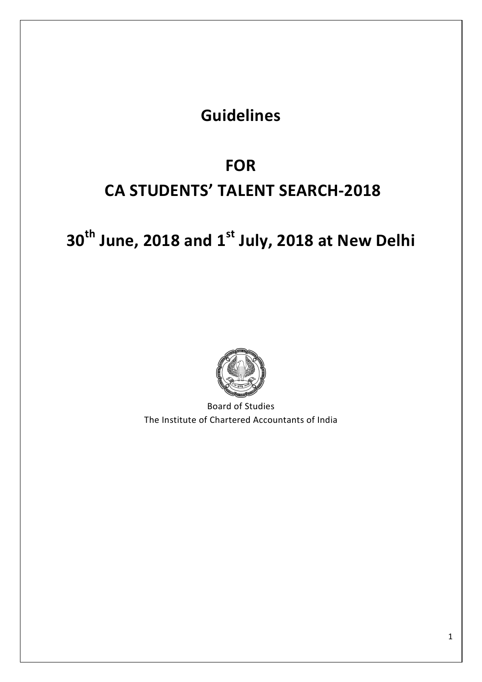# **Guidelines**

# **FOR CA STUDENTS' TALENT SEARCH-2018**

# **30th June, 2018 and 1st July, 2018 at New Delhi**



Board of Studies The Institute of Chartered Accountants of India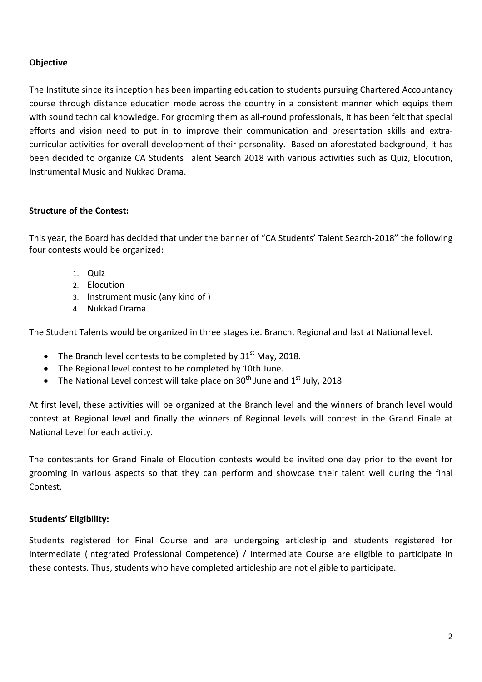# **Objective**

The Institute since its inception has been imparting education to students pursuing Chartered Accountancy course through distance education mode across the country in a consistent manner which equips them with sound technical knowledge. For grooming them as all-round professionals, it has been felt that special efforts and vision need to put in to improve their communication and presentation skills and extracurricular activities for overall development of their personality. Based on aforestated background, it has been decided to organize CA Students Talent Search 2018 with various activities such as Quiz, Elocution, Instrumental Music and Nukkad Drama.

# **Structure of the Contest:**

This year, the Board has decided that under the banner of "CA Students' Talent Search-2018" the following four contests would be organized:

- 1. Quiz
- 2. Elocution
- 3. Instrument music (any kind of )
- 4. Nukkad Drama

The Student Talents would be organized in three stages i.e. Branch, Regional and last at National level.

- The Branch level contests to be completed by  $31<sup>st</sup>$  May, 2018.
- The Regional level contest to be completed by 10th June.
- The National Level contest will take place on  $30^{th}$  June and  $1^{st}$  July, 2018

At first level, these activities will be organized at the Branch level and the winners of branch level would contest at Regional level and finally the winners of Regional levels will contest in the Grand Finale at National Level for each activity.

The contestants for Grand Finale of Elocution contests would be invited one day prior to the event for grooming in various aspects so that they can perform and showcase their talent well during the final Contest.

# **Students' Eligibility:**

Students registered for Final Course and are undergoing articleship and students registered for Intermediate (Integrated Professional Competence) / Intermediate Course are eligible to participate in these contests. Thus, students who have completed articleship are not eligible to participate.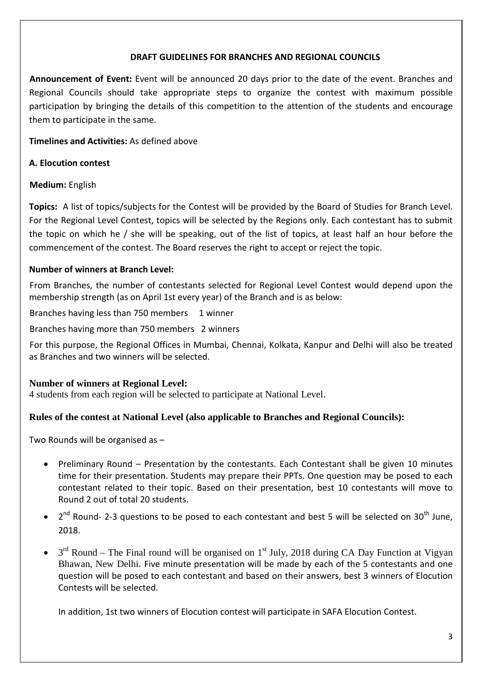#### **DRAFT GUIDELINES FOR BRANCHES AND REGIONAL COUNCILS**

**Announcement of Event:** Event will be announced 20 days prior to the date of the event. Branches and Regional Councils should take appropriate steps to organize the contest with maximum possible participation by bringing the details of this competition to the attention of the students and encourage them to participate in the same.

# **Timelines and Activities:** As defined above

#### **A. Elocution contest**

#### **Medium:** English

**Topics:** A list of topics/subjects for the Contest will be provided by the Board of Studies for Branch Level. For the Regional Level Contest, topics will be selected by the Regions only. Each contestant has to submit the topic on which he / she will be speaking, out of the list of topics, at least half an hour before the commencement of the contest. The Board reserves the right to accept or reject the topic.

#### **Number of winners at Branch Level:**

From Branches, the number of contestants selected for Regional Level Contest would depend upon the membership strength (as on April 1st every year) of the Branch and is as below:

Branches having less than 750 members 1 winner

Branches having more than 750 members 2 winners

For this purpose, the Regional Offices in Mumbai, Chennai, Kolkata, Kanpur and Delhi will also be treated as Branches and two winners will be selected.

# **Number of winners at Regional Level:**

4 students from each region will be selected to participate at National Level.

# **Rules of the contest at National Level (also applicable to Branches and Regional Councils):**

Two Rounds will be organised as –

- Preliminary Round Presentation by the contestants. Each Contestant shall be given 10 minutes time for their presentation. Students may prepare their PPTs. One question may be posed to each contestant related to their topic. Based on their presentation, best 10 contestants will move to Round 2 out of total 20 students.
- $2^{nd}$  Round- 2-3 questions to be posed to each contestant and best 5 will be selected on 30<sup>th</sup> June, 2018.
- $3<sup>rd</sup>$  Round The Final round will be organised on 1<sup>st</sup> July, 2018 during CA Day Function at Vigyan Bhawan, New Delhi. Five minute presentation will be made by each of the 5 contestants and one question will be posed to each contestant and based on their answers, best 3 winners of Elocution Contests will be selected.

In addition, 1st two winners of Elocution contest will participate in SAFA Elocution Contest.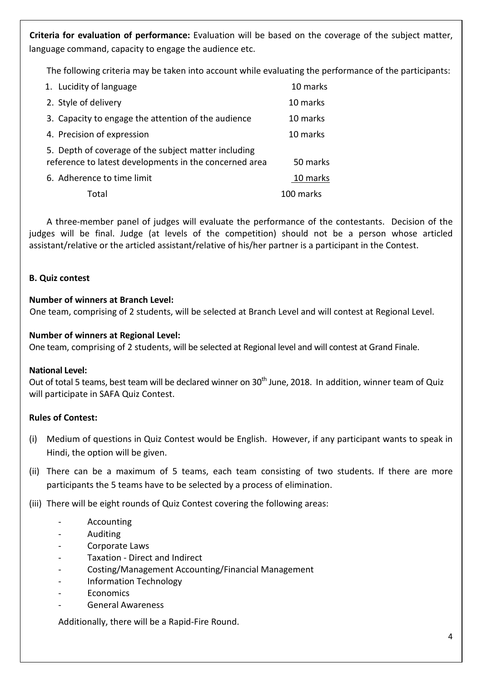**Criteria for evaluation of performance:** Evaluation will be based on the coverage of the subject matter, language command, capacity to engage the audience etc.

The following criteria may be taken into account while evaluating the performance of the participants:

| 1. Lucidity of language                                                                                        | 10 marks  |
|----------------------------------------------------------------------------------------------------------------|-----------|
| 2. Style of delivery                                                                                           | 10 marks  |
| 3. Capacity to engage the attention of the audience                                                            | 10 marks  |
| 4. Precision of expression                                                                                     | 10 marks  |
| 5. Depth of coverage of the subject matter including<br>reference to latest developments in the concerned area | 50 marks  |
| 6. Adherence to time limit                                                                                     | 10 marks  |
| Total                                                                                                          | 100 marks |

A three-member panel of judges will evaluate the performance of the contestants. Decision of the judges will be final. Judge (at levels of the competition) should not be a person whose articled assistant/relative or the articled assistant/relative of his/her partner is a participant in the Contest.

#### **B. Quiz contest**

#### **Number of winners at Branch Level:**

One team, comprising of 2 students, will be selected at Branch Level and will contest at Regional Level.

#### **Number of winners at Regional Level:**

One team, comprising of 2 students, will be selected at Regional level and will contest at Grand Finale.

#### **National Level:**

Out of total 5 teams, best team will be declared winner on 30<sup>th</sup> June, 2018. In addition, winner team of Quiz will participate in SAFA Quiz Contest.

# **Rules of Contest:**

- (i) Medium of questions in Quiz Contest would be English. However, if any participant wants to speak in Hindi, the option will be given.
- (ii) There can be a maximum of 5 teams, each team consisting of two students. If there are more participants the 5 teams have to be selected by a process of elimination.

(iii) There will be eight rounds of Quiz Contest covering the following areas:

- **Accounting**
- Auditing
- Corporate Laws
- Taxation Direct and Indirect
- Costing/Management Accounting/Financial Management
- Information Technology
- **Economics**
- General Awareness

Additionally, there will be a Rapid-Fire Round.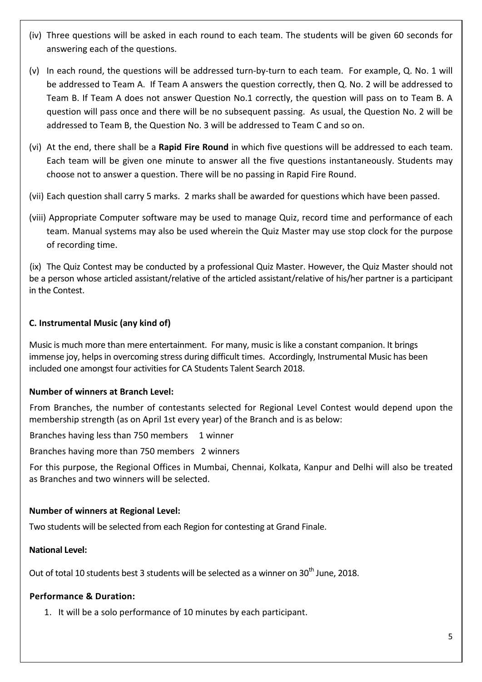- (iv) Three questions will be asked in each round to each team. The students will be given 60 seconds for answering each of the questions.
- (v) In each round, the questions will be addressed turn-by-turn to each team. For example, Q. No. 1 will be addressed to Team A. If Team A answers the question correctly, then Q. No. 2 will be addressed to Team B. If Team A does not answer Question No.1 correctly, the question will pass on to Team B. A question will pass once and there will be no subsequent passing. As usual, the Question No. 2 will be addressed to Team B, the Question No. 3 will be addressed to Team C and so on.
- (vi) At the end, there shall be a **Rapid Fire Round** in which five questions will be addressed to each team. Each team will be given one minute to answer all the five questions instantaneously. Students may choose not to answer a question. There will be no passing in Rapid Fire Round.
- (vii) Each question shall carry 5 marks. 2 marks shall be awarded for questions which have been passed.
- (viii) Appropriate Computer software may be used to manage Quiz, record time and performance of each team. Manual systems may also be used wherein the Quiz Master may use stop clock for the purpose of recording time.

(ix) The Quiz Contest may be conducted by a professional Quiz Master. However, the Quiz Master should not be a person whose articled assistant/relative of the articled assistant/relative of his/her partner is a participant in the Contest.

# **C. Instrumental Music (any kind of)**

Music is much more than mere entertainment. For many, music is like a constant companion. It brings immense joy, helps in overcoming stress during difficult times. Accordingly, Instrumental Music has been included one amongst four activities for CA Students Talent Search 2018.

# **Number of winners at Branch Level:**

From Branches, the number of contestants selected for Regional Level Contest would depend upon the membership strength (as on April 1st every year) of the Branch and is as below:

Branches having less than 750 members 1 winner

Branches having more than 750 members 2 winners

For this purpose, the Regional Offices in Mumbai, Chennai, Kolkata, Kanpur and Delhi will also be treated as Branches and two winners will be selected.

# **Number of winners at Regional Level:**

Two students will be selected from each Region for contesting at Grand Finale.

#### **National Level:**

Out of total 10 students best 3 students will be selected as a winner on 30<sup>th</sup> June, 2018.

# **Performance & Duration:**

1. It will be a solo performance of 10 minutes by each participant.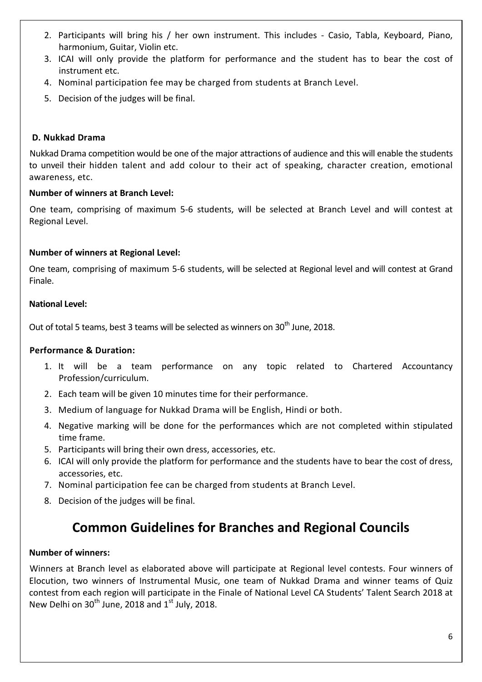- 2. Participants will bring his / her own instrument. This includes Casio, Tabla, Keyboard, Piano, harmonium, Guitar, Violin etc.
- 3. ICAI will only provide the platform for performance and the student has to bear the cost of instrument etc.
- 4. Nominal participation fee may be charged from students at Branch Level.
- 5. Decision of the judges will be final.

#### **D. Nukkad Drama**

Nukkad Drama competition would be one of the major attractions of audience and this will enable the students to unveil their hidden talent and add colour to their act of speaking, character creation, emotional awareness, etc.

#### **Number of winners at Branch Level:**

One team, comprising of maximum 5-6 students, will be selected at Branch Level and will contest at Regional Level.

#### **Number of winners at Regional Level:**

One team, comprising of maximum 5-6 students, will be selected at Regional level and will contest at Grand Finale.

#### **National Level:**

Out of total 5 teams, best 3 teams will be selected as winners on  $30<sup>th</sup>$  June, 2018.

#### **Performance & Duration:**

- 1. It will be a team performance on any topic related to Chartered Accountancy Profession/curriculum.
- 2. Each team will be given 10 minutes time for their performance.
- 3. Medium of language for Nukkad Drama will be English, Hindi or both.
- 4. Negative marking will be done for the performances which are not completed within stipulated time frame.
- 5. Participants will bring their own dress, accessories, etc.
- 6. ICAI will only provide the platform for performance and the students have to bear the cost of dress, accessories, etc.
- 7. Nominal participation fee can be charged from students at Branch Level.
- 8. Decision of the judges will be final.

# **Common Guidelines for Branches and Regional Councils**

#### **Number of winners:**

Winners at Branch level as elaborated above will participate at Regional level contests. Four winners of Elocution, two winners of Instrumental Music, one team of Nukkad Drama and winner teams of Quiz contest from each region will participate in the Finale of National Level CA Students' Talent Search 2018 at New Delhi on  $30<sup>th</sup>$  June, 2018 and  $1<sup>st</sup>$  July, 2018.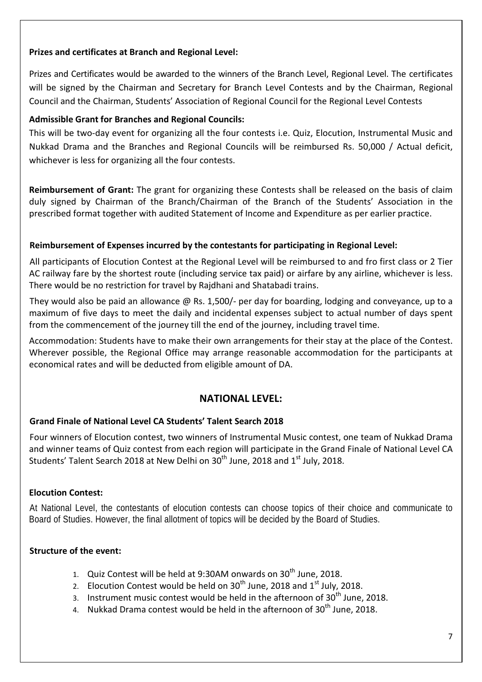# **Prizes and certificates at Branch and Regional Level:**

Prizes and Certificates would be awarded to the winners of the Branch Level, Regional Level. The certificates will be signed by the Chairman and Secretary for Branch Level Contests and by the Chairman, Regional Council and the Chairman, Students' Association of Regional Council for the Regional Level Contests

# **Admissible Grant for Branches and Regional Councils:**

This will be two-day event for organizing all the four contests i.e. Quiz, Elocution, Instrumental Music and Nukkad Drama and the Branches and Regional Councils will be reimbursed Rs. 50,000 / Actual deficit, whichever is less for organizing all the four contests.

**Reimbursement of Grant:** The grant for organizing these Contests shall be released on the basis of claim duly signed by Chairman of the Branch/Chairman of the Branch of the Students' Association in the prescribed format together with audited Statement of Income and Expenditure as per earlier practice.

# **Reimbursement of Expenses incurred by the contestants for participating in Regional Level:**

All participants of Elocution Contest at the Regional Level will be reimbursed to and fro first class or 2 Tier AC railway fare by the shortest route (including service tax paid) or airfare by any airline, whichever is less. There would be no restriction for travel by Rajdhani and Shatabadi trains.

They would also be paid an allowance @ Rs. 1,500/- per day for boarding, lodging and conveyance, up to a maximum of five days to meet the daily and incidental expenses subject to actual number of days spent from the commencement of the journey till the end of the journey, including travel time.

Accommodation: Students have to make their own arrangements for their stay at the place of the Contest. Wherever possible, the Regional Office may arrange reasonable accommodation for the participants at economical rates and will be deducted from eligible amount of DA.

# **NATIONAL LEVEL:**

# **Grand Finale of National Level CA Students' Talent Search 2018**

Four winners of Elocution contest, two winners of Instrumental Music contest, one team of Nukkad Drama and winner teams of Quiz contest from each region will participate in the Grand Finale of National Level CA Students' Talent Search 2018 at New Delhi on 30<sup>th</sup> June, 2018 and 1<sup>st</sup> July, 2018.

# **Elocution Contest:**

At National Level, the contestants of elocution contests can choose topics of their choice and communicate to Board of Studies. However, the final allotment of topics will be decided by the Board of Studies.

# **Structure of the event:**

- 1. Quiz Contest will be held at 9:30AM onwards on  $30<sup>th</sup>$  June, 2018.
- 2. Elocution Contest would be held on  $30<sup>th</sup>$  June, 2018 and  $1<sup>st</sup>$  July, 2018.
- 3. Instrument music contest would be held in the afternoon of  $30<sup>th</sup>$  June, 2018.
- 4. Nukkad Drama contest would be held in the afternoon of  $30<sup>th</sup>$  June, 2018.